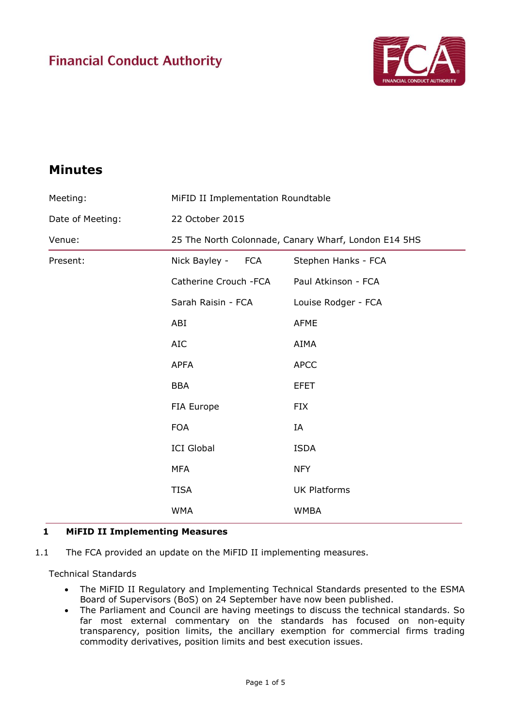# **Financial Conduct Authority**



# **Minutes**

| Meeting:         | MiFID II Implementation Roundtable                   |                     |
|------------------|------------------------------------------------------|---------------------|
| Date of Meeting: | 22 October 2015                                      |                     |
| Venue:           | 25 The North Colonnade, Canary Wharf, London E14 5HS |                     |
| Present:         | Nick Bayley -<br>FCA                                 | Stephen Hanks - FCA |
|                  | Catherine Crouch -FCA                                | Paul Atkinson - FCA |
|                  | Sarah Raisin - FCA                                   | Louise Rodger - FCA |
|                  | ABI                                                  | <b>AFME</b>         |
|                  | <b>AIC</b>                                           | AIMA                |
|                  | <b>APFA</b>                                          | <b>APCC</b>         |
|                  | <b>BBA</b>                                           | <b>EFET</b>         |
|                  | FIA Europe                                           | <b>FIX</b>          |
|                  | <b>FOA</b>                                           | IA                  |
|                  | <b>ICI Global</b>                                    | <b>ISDA</b>         |
|                  | <b>MFA</b>                                           | <b>NFY</b>          |
|                  | <b>TISA</b>                                          | <b>UK Platforms</b> |
|                  | <b>WMA</b>                                           | <b>WMBA</b>         |

### **1 MiFID II Implementing Measures**

1.1 The FCA provided an update on the MiFID II implementing measures.

Technical Standards

- The MiFID II Regulatory and Implementing Technical Standards presented to the ESMA Board of Supervisors (BoS) on 24 September have now been published.
- The Parliament and Council are having meetings to discuss the technical standards. So far most external commentary on the standards has focused on non-equity transparency, position limits, the ancillary exemption for commercial firms trading commodity derivatives, position limits and best execution issues.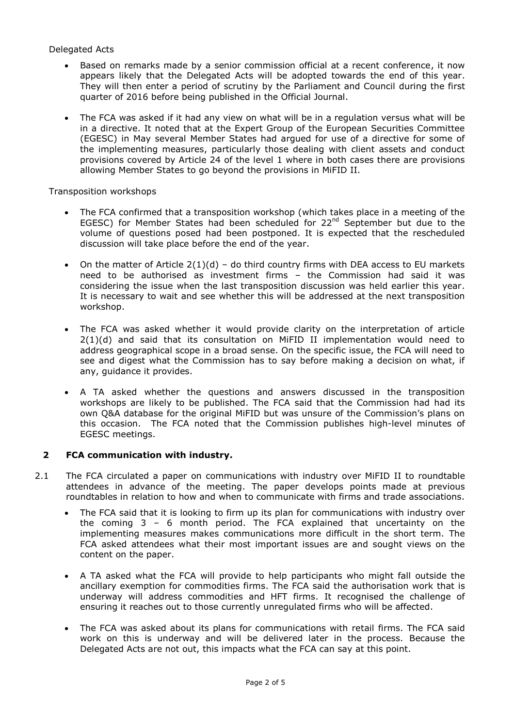#### Delegated Acts

- Based on remarks made by a senior commission official at a recent conference, it now appears likely that the Delegated Acts will be adopted towards the end of this year. They will then enter a period of scrutiny by the Parliament and Council during the first quarter of 2016 before being published in the Official Journal.
- The FCA was asked if it had any view on what will be in a regulation versus what will be in a directive. It noted that at the Expert Group of the European Securities Committee (EGESC) in May several Member States had argued for use of a directive for some of the implementing measures, particularly those dealing with client assets and conduct provisions covered by Article 24 of the level 1 where in both cases there are provisions allowing Member States to go beyond the provisions in MiFID II.

Transposition workshops

- The FCA confirmed that a transposition workshop (which takes place in a meeting of the EGESC) for Member States had been scheduled for 22<sup>nd</sup> September but due to the volume of questions posed had been postponed. It is expected that the rescheduled discussion will take place before the end of the year.
- On the matter of Article  $2(1)(d)$  do third country firms with DEA access to EU markets need to be authorised as investment firms – the Commission had said it was considering the issue when the last transposition discussion was held earlier this year. It is necessary to wait and see whether this will be addressed at the next transposition workshop.
- The FCA was asked whether it would provide clarity on the interpretation of article 2(1)(d) and said that its consultation on MiFID II implementation would need to address geographical scope in a broad sense. On the specific issue, the FCA will need to see and digest what the Commission has to say before making a decision on what, if any, guidance it provides.
- A TA asked whether the questions and answers discussed in the transposition workshops are likely to be published. The FCA said that the Commission had had its own Q&A database for the original MiFID but was unsure of the Commission's plans on this occasion. The FCA noted that the Commission publishes high-level minutes of EGESC meetings.

#### **2 FCA communication with industry.**

- 2.1 The FCA circulated a paper on communications with industry over MiFID II to roundtable attendees in advance of the meeting. The paper develops points made at previous roundtables in relation to how and when to communicate with firms and trade associations.
	- The FCA said that it is looking to firm up its plan for communications with industry over the coming 3 – 6 month period. The FCA explained that uncertainty on the implementing measures makes communications more difficult in the short term. The FCA asked attendees what their most important issues are and sought views on the content on the paper.
	- A TA asked what the FCA will provide to help participants who might fall outside the ancillary exemption for commodities firms. The FCA said the authorisation work that is underway will address commodities and HFT firms. It recognised the challenge of ensuring it reaches out to those currently unregulated firms who will be affected.
	- The FCA was asked about its plans for communications with retail firms. The FCA said work on this is underway and will be delivered later in the process. Because the Delegated Acts are not out, this impacts what the FCA can say at this point.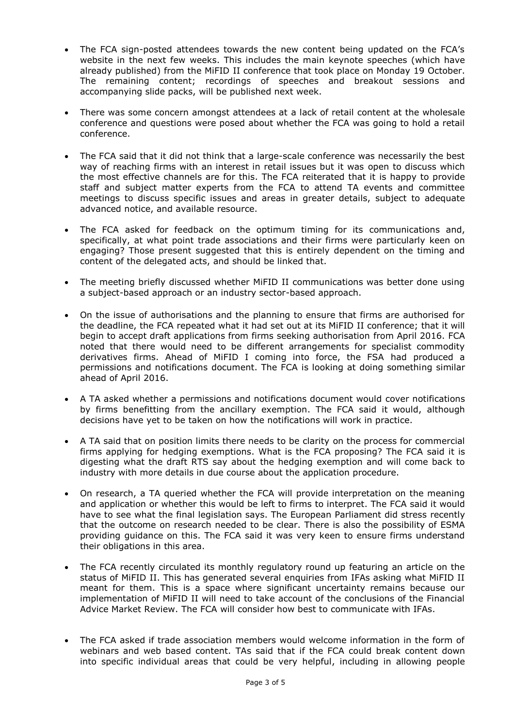- The FCA sign-posted attendees towards the new content being updated on the FCA's website in the next few weeks. This includes the main keynote speeches (which have already published) from the MiFID II conference that took place on Monday 19 October. The remaining content; recordings of speeches and breakout sessions and accompanying slide packs, will be published next week.
- There was some concern amongst attendees at a lack of retail content at the wholesale conference and questions were posed about whether the FCA was going to hold a retail conference.
- The FCA said that it did not think that a large-scale conference was necessarily the best way of reaching firms with an interest in retail issues but it was open to discuss which the most effective channels are for this. The FCA reiterated that it is happy to provide staff and subject matter experts from the FCA to attend TA events and committee meetings to discuss specific issues and areas in greater details, subject to adequate advanced notice, and available resource.
- The FCA asked for feedback on the optimum timing for its communications and, specifically, at what point trade associations and their firms were particularly keen on engaging? Those present suggested that this is entirely dependent on the timing and content of the delegated acts, and should be linked that.
- The meeting briefly discussed whether MiFID II communications was better done using a subject-based approach or an industry sector-based approach.
- On the issue of authorisations and the planning to ensure that firms are authorised for the deadline, the FCA repeated what it had set out at its MiFID II conference; that it will begin to accept draft applications from firms seeking authorisation from April 2016. FCA noted that there would need to be different arrangements for specialist commodity derivatives firms. Ahead of MiFID I coming into force, the FSA had produced a permissions and notifications document. The FCA is looking at doing something similar ahead of April 2016.
- A TA asked whether a permissions and notifications document would cover notifications by firms benefitting from the ancillary exemption. The FCA said it would, although decisions have yet to be taken on how the notifications will work in practice.
- A TA said that on position limits there needs to be clarity on the process for commercial firms applying for hedging exemptions. What is the FCA proposing? The FCA said it is digesting what the draft RTS say about the hedging exemption and will come back to industry with more details in due course about the application procedure.
- On research, a TA queried whether the FCA will provide interpretation on the meaning and application or whether this would be left to firms to interpret. The FCA said it would have to see what the final legislation says. The European Parliament did stress recently that the outcome on research needed to be clear. There is also the possibility of ESMA providing guidance on this. The FCA said it was very keen to ensure firms understand their obligations in this area.
- The FCA recently circulated its monthly regulatory round up featuring an article on the status of MiFID II. This has generated several enquiries from IFAs asking what MiFID II meant for them. This is a space where significant uncertainty remains because our implementation of MiFID II will need to take account of the conclusions of the Financial Advice Market Review. The FCA will consider how best to communicate with IFAs.
- The FCA asked if trade association members would welcome information in the form of webinars and web based content. TAs said that if the FCA could break content down into specific individual areas that could be very helpful, including in allowing people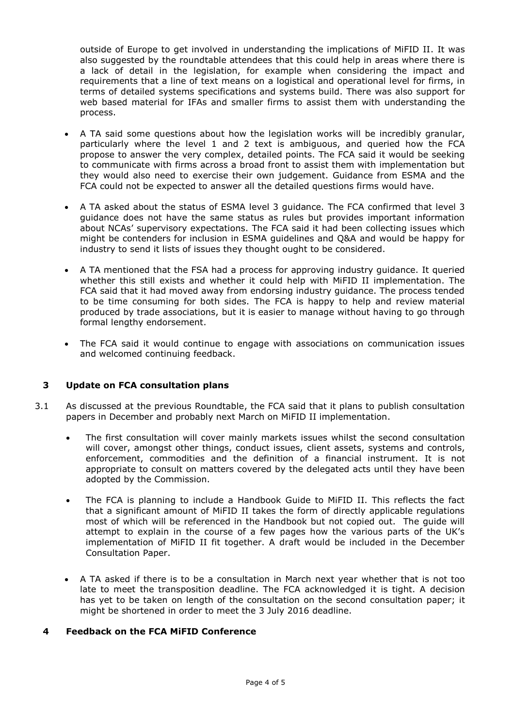outside of Europe to get involved in understanding the implications of MiFID II. It was also suggested by the roundtable attendees that this could help in areas where there is a lack of detail in the legislation, for example when considering the impact and requirements that a line of text means on a logistical and operational level for firms, in terms of detailed systems specifications and systems build. There was also support for web based material for IFAs and smaller firms to assist them with understanding the process.

- A TA said some questions about how the legislation works will be incredibly granular, particularly where the level 1 and 2 text is ambiguous, and queried how the FCA propose to answer the very complex, detailed points. The FCA said it would be seeking to communicate with firms across a broad front to assist them with implementation but they would also need to exercise their own judgement. Guidance from ESMA and the FCA could not be expected to answer all the detailed questions firms would have.
- A TA asked about the status of ESMA level 3 guidance. The FCA confirmed that level 3 guidance does not have the same status as rules but provides important information about NCAs' supervisory expectations. The FCA said it had been collecting issues which might be contenders for inclusion in ESMA guidelines and Q&A and would be happy for industry to send it lists of issues they thought ought to be considered.
- A TA mentioned that the FSA had a process for approving industry guidance. It queried whether this still exists and whether it could help with MiFID II implementation. The FCA said that it had moved away from endorsing industry guidance. The process tended to be time consuming for both sides. The FCA is happy to help and review material produced by trade associations, but it is easier to manage without having to go through formal lengthy endorsement.
- The FCA said it would continue to engage with associations on communication issues and welcomed continuing feedback.

#### **3 Update on FCA consultation plans**

- 3.1 As discussed at the previous Roundtable, the FCA said that it plans to publish consultation papers in December and probably next March on MiFID II implementation.
	- The first consultation will cover mainly markets issues whilst the second consultation will cover, amongst other things, conduct issues, client assets, systems and controls, enforcement, commodities and the definition of a financial instrument. It is not appropriate to consult on matters covered by the delegated acts until they have been adopted by the Commission.
	- The FCA is planning to include a Handbook Guide to MiFID II. This reflects the fact that a significant amount of MiFID II takes the form of directly applicable regulations most of which will be referenced in the Handbook but not copied out. The guide will attempt to explain in the course of a few pages how the various parts of the UK's implementation of MiFID II fit together. A draft would be included in the December Consultation Paper.
	- A TA asked if there is to be a consultation in March next year whether that is not too late to meet the transposition deadline. The FCA acknowledged it is tight. A decision has yet to be taken on length of the consultation on the second consultation paper; it might be shortened in order to meet the 3 July 2016 deadline.

#### **4 Feedback on the FCA MiFID Conference**